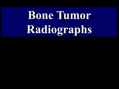# **Bone Tumor Radiographs**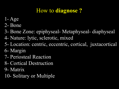#### How to **diagnose ?**

- 1- Age
- 2- Bone
- 3- Bone Zone: epiphyseal- Metaphyseal- diaphyseal
- 4- Nature: lytic, sclerotic, mixed
- 5- Location: centric, eccentric, cortical, juxtacortical
- 6- Margin
- 7- Periosteal Reaction
- 8- Cortical Destruction
- 9- Matrix
- 10- Solitary or Multiple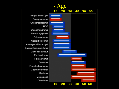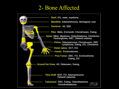#### 2- Bone Affected

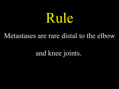# Rule

#### Metastases are rare distal to the elbow

and knee joints.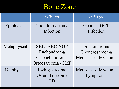### Bone Zone

|             | $\leq 30$ ys                                                              | $>$ 30 ys                                           |
|-------------|---------------------------------------------------------------------------|-----------------------------------------------------|
| Epiphyseal  | Chondroblastoma<br>Infection                                              | Geodes- GCT<br>Infection                            |
| Metaphyseal | <b>SBC-ABC-NOF</b><br>Enchondroma<br>Osteochondroma<br>Osteosarcoma - CMF | Enchondroma<br>Chondrosarcoma<br>Metastases-Myeloma |
| Diaphyseal  | Ewing sarcoma<br>Osteoid osteoma<br>FD                                    | Metastases-Myeloma<br>Lymphoma                      |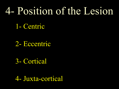# 4- Position of the Lesion

1- Centric

2- Eccentric

3- Cortical

4- Juxta-cortical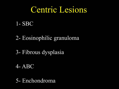### Centric Lesions

#### 1- SBC

#### 2- Eosinophilic granuloma

### 3- Fibrous dysplasia

#### 4- ABC

#### 5- Enchondroma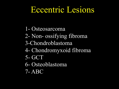### Eccentric Lesions

- 1- Osteosarcoma
- 2- Non- ossifying fibroma
- 3-Chondroblastoma
- 4- Chondromyxoid fibroma
- 5- GCT
- 6- Osteoblastoma
- 7- ABC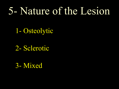## 5- Nature of the Lesion

1- Osteolytic

2- Sclerotic

3- Mixed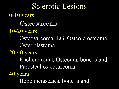Sclerotic Lesions 0-10 years **Osteosarcoma** 10-20 years Osteosarcoma, EG, Osteoid osteoma, Osteoblastoma 20-40 years Enchondroma, Osteoma, bone island Parosteal osteosarcoma 40 years Bone metastases, bone island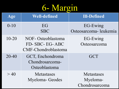## 6- Margin

| Age       | <b>Well-defined</b>                                        | <b>Ill-Defined</b>                              |
|-----------|------------------------------------------------------------|-------------------------------------------------|
| $0 - 10$  | EG<br><b>SBC</b>                                           | EG-Ewing<br>Osteosarcoma-leukemia               |
| $10 - 20$ | NOF- Osteoblastoma<br>FD-SBC-EG-ABC<br>CMF-Chondroblastoma | EG-Ewing<br>Osteosarcoma                        |
| $20 - 40$ | GCT, Enchondroma<br>Chondrosarcoma-<br>Osteoblastoma       | <b>GCT</b>                                      |
| >40       | <b>Metastases</b><br>Myeloma-Geodes                        | <b>Metastases</b><br>Myeloma-<br>Chondrosarcoma |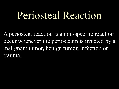## Periosteal Reaction

A periosteal reaction is a non-specific reaction occur whenever the periosteum is irritated by a malignant tumor, benign tumor, infection or trauma.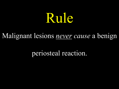# Rule

### Malignant lesions *never cause* a benign

periosteal reaction.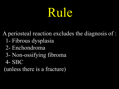# Rule

A periosteal reaction excludes the diagnosis of : 1- Fibrous dysplasia 2- Enchondroma 3- Non-ossifying fibroma

4- SBC

(unless there is a fracture)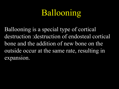## Ballooning

Ballooning is a special type of cortical destruction :destruction of endosteal cortical bone and the addition of new bone on the outside occur at the same rate, resulting in expansion.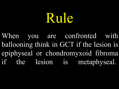# Rule

When you are confronted with ballooning think in GCT if the lesion is epiphyseal or chondromyxoid fibroma if the lesion is metaphyseal.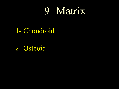## 9- Matrix

### 1- Chondroid

2- Osteoid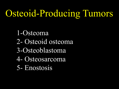# Osteoid-Producing Tumors

1-Osteoma 2- Osteoid osteoma 3-Osteoblastoma 4- Osteosarcoma 5- Enostosis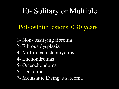### 10- Solitary or Multiple

### Polyostotic lesions < 30 years

- 1- Non- ossifying fibroma
- 2- Fibrous dysplasia
- 3- Multifocal osteomyelitis
- 4- Enchondromas
- 5- Osteochondoma
- 6- Leukemia
- 7- Metastatic Ewing' s sarcoma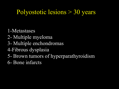### Polyostotic lesions > 30 years

- 1-Metastases
- 2- Multiple myeloma
- 3- Multiple enchondromas
- 4-Fibrous dysplasia
- 5- Brown tumors of hyperparathyroidism
- 6- Bone infarcts